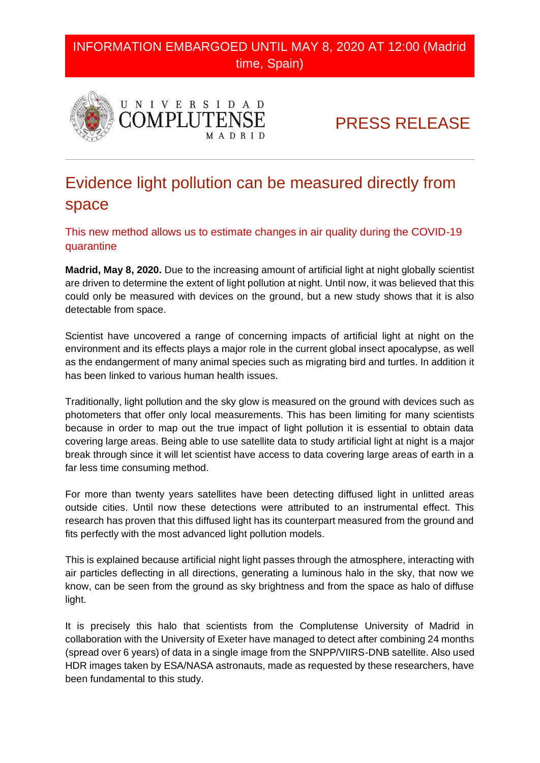INFORMATION EMBARGOED UNTIL MAY 8, 2020 AT 12:00 (Madrid time, Spain)



PRESS RELEASE

## Evidence light pollution can be measured directly from space

This new method allows us to estimate changes in air quality during the COVID-19 quarantine

**Madrid, May 8, 2020.** Due to the increasing amount of artificial light at night globally scientist are driven to determine the extent of light pollution at night. Until now, it was believed that this could only be measured with devices on the ground, but a new study shows that it is also detectable from space.

Scientist have uncovered a range of concerning impacts of artificial light at night on the environment and its effects plays a major role in the current global insect apocalypse, as well as the endangerment of many animal species such as migrating bird and turtles. In addition it has been linked to various human health issues.

Traditionally, light pollution and the sky glow is measured on the ground with devices such as photometers that offer only local measurements. This has been limiting for many scientists because in order to map out the true impact of light pollution it is essential to obtain data covering large areas. Being able to use satellite data to study artificial light at night is a major break through since it will let scientist have access to data covering large areas of earth in a far less time consuming method.

For more than twenty years satellites have been detecting diffused light in unlitted areas outside cities. Until now these detections were attributed to an instrumental effect. This research has proven that this diffused light has its counterpart measured from the ground and fits perfectly with the most advanced light pollution models.

This is explained because artificial night light passes through the atmosphere, interacting with air particles deflecting in all directions, generating a luminous halo in the sky, that now we know, can be seen from the ground as sky brightness and from the space as halo of diffuse light.

It is precisely this halo that scientists from the Complutense University of Madrid in collaboration with the University of Exeter have managed to detect after combining 24 months (spread over 6 years) of data in a single image from the SNPP/VIIRS-DNB satellite. Also used HDR images taken by ESA/NASA astronauts, made as requested by these researchers, have been fundamental to this study.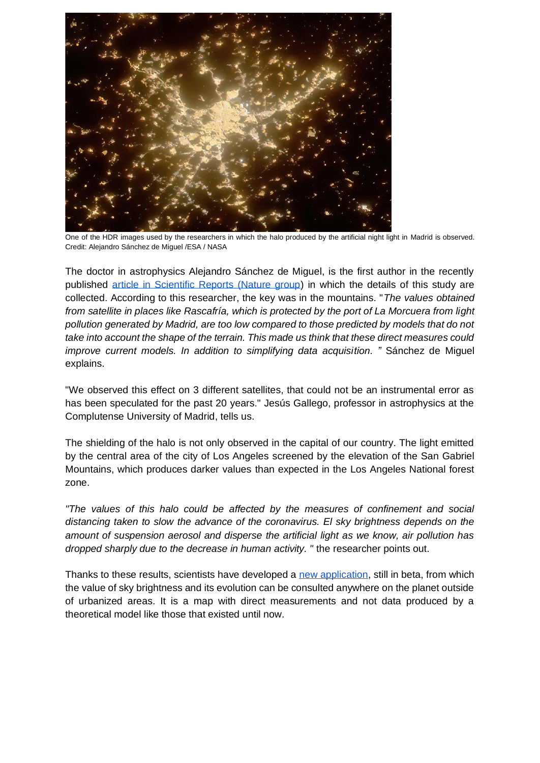

One of the HDR images used by the researchers in which the halo produced by the artificial night light in Madrid is observed. Credit: Alejandro Sánchez de Miguel /ESA / NASA

The doctor in astrophysics Alejandro Sánchez de Miguel, is the first author in the recently published [article in Scientific Reports \(Nature group\)](http://www.nature.com/articles/s41598-020-64673-2) in which the details of this study are collected. According to this researcher, the key was in the mountains. "*The values obtained from satellite in places like Rascafría, which is protected by the port of La Morcuera from light pollution generated by Madrid, are too low compared to those predicted by models that do not take into account the shape of the terrain. This made us think that these direct measures could improve current models. In addition to simplifying data acquisition. "* Sánchez de Miguel explains.

"We observed this effect on 3 different satellites, that could not be an instrumental error as has been speculated for the past 20 years." Jesús Gallego, professor in astrophysics at the Complutense University of Madrid, tells us.

The shielding of the halo is not only observed in the capital of our country. The light emitted by the central area of the city of Los Angeles screened by the elevation of the San Gabriel Mountains, which produces darker values than expected in the Los Angeles National forest zone.

*"The values of this halo could be affected by the measures of confinement and social distancing taken to slow the advance of the coronavirus. El sky brightness depends on the amount of suspension aerosol and disperse the artificial light as we know, air pollution has dropped sharply due to the decrease in human activity. "* the researcher points out.

Thanks to these results, scientists have developed a [new application,](https://pmisson.users.earthengine.app/view/trends) still in beta, from which the value of sky brightness and its evolution can be consulted anywhere on the planet outside of urbanized areas. It is a map with direct measurements and not data produced by a theoretical model like those that existed until now.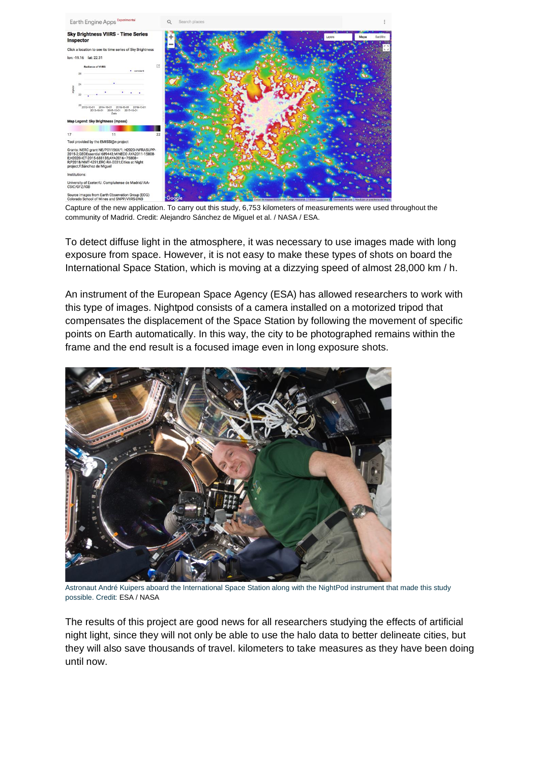

Capture of the new application. To carry out this study, 6,753 kilometers of measurements were used throughout the community of Madrid. Credit: Alejandro Sánchez de Miguel et al. / NASA / ESA.

To detect diffuse light in the atmosphere, it was necessary to use images made with long exposure from space. However, it is not easy to make these types of shots on board the International Space Station, which is moving at a dizzying speed of almost 28,000 km / h.

An instrument of the European Space Agency (ESA) has allowed researchers to work with this type of images. Nightpod consists of a camera installed on a motorized tripod that compensates the displacement of the Space Station by following the movement of specific points on Earth automatically. In this way, the city to be photographed remains within the frame and the end result is a focused image even in long exposure shots.



Astronaut André Kuipers aboard the International Space Station along with the NightPod instrument that made this study possible. Credit: ESA / NASA

The results of this project are good news for all researchers studying the effects of artificial night light, since they will not only be able to use the halo data to better delineate cities, but they will also save thousands of travel. kilometers to take measures as they have been doing until now.